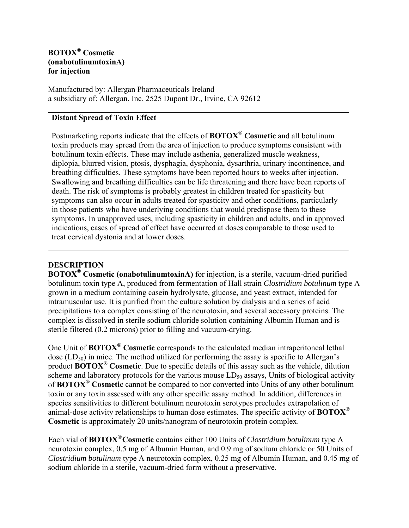#### **BOTOX® Cosmetic (onabotulinumtoxinA) for injection**

Manufactured by: Allergan Pharmaceuticals Ireland a subsidiary of: Allergan, Inc. 2525 Dupont Dr., Irvine, CA 92612

#### **Distant Spread of Toxin Effect**

Postmarketing reports indicate that the effects of **BOTOX® Cosmetic** and all botulinum toxin products may spread from the area of injection to produce symptoms consistent with botulinum toxin effects. These may include asthenia, generalized muscle weakness, diplopia, blurred vision, ptosis, dysphagia, dysphonia, dysarthria, urinary incontinence, and breathing difficulties. These symptoms have been reported hours to weeks after injection. Swallowing and breathing difficulties can be life threatening and there have been reports of death. The risk of symptoms is probably greatest in children treated for spasticity but symptoms can also occur in adults treated for spasticity and other conditions, particularly in those patients who have underlying conditions that would predispose them to these symptoms. In unapproved uses, including spasticity in children and adults, and in approved indications, cases of spread of effect have occurred at doses comparable to those used to treat cervical dystonia and at lower doses.

## **DESCRIPTION**

**BOTOX® Cosmetic (onabotulinumtoxinA)** for injection, is a sterile, vacuum-dried purified botulinum toxin type A, produced from fermentation of Hall strain *Clostridium botulinum* type A grown in a medium containing casein hydrolysate, glucose, and yeast extract, intended for intramuscular use. It is purified from the culture solution by dialysis and a series of acid precipitations to a complex consisting of the neurotoxin, and several accessory proteins. The complex is dissolved in sterile sodium chloride solution containing Albumin Human and is sterile filtered (0.2 microns) prior to filling and vacuum-drying.

One Unit of **BOTOX® Cosmetic** corresponds to the calculated median intraperitoneal lethal dose  $(LD_{50})$  in mice. The method utilized for performing the assay is specific to Allergan's product **BOTOX® Cosmetic**. Due to specific details of this assay such as the vehicle, dilution scheme and laboratory protocols for the various mouse  $LD_{50}$  assays, Units of biological activity of **BOTOX® Cosmetic** cannot be compared to nor converted into Units of any other botulinum toxin or any toxin assessed with any other specific assay method. In addition, differences in species sensitivities to different botulinum neurotoxin serotypes precludes extrapolation of animal-dose activity relationships to human dose estimates. The specific activity of **BOTOX® Cosmetic** is approximately 20 units/nanogram of neurotoxin protein complex.

Each vial of **BOTOX®Cosmetic** contains either 100 Units of *Clostridium botulinum* type A neurotoxin complex, 0.5 mg of Albumin Human, and 0.9 mg of sodium chloride or 50 Units of *Clostridium botulinum* type A neurotoxin complex, 0.25 mg of Albumin Human, and 0.45 mg of sodium chloride in a sterile, vacuum-dried form without a preservative.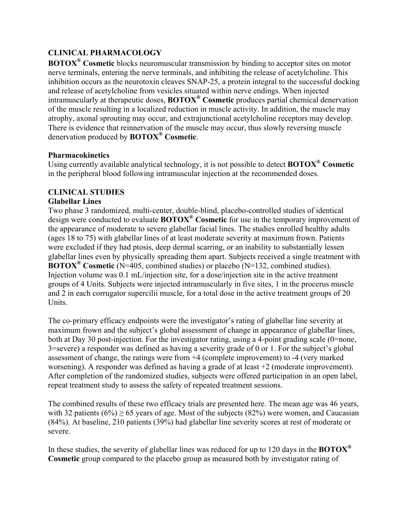## **CLINICAL PHARMACOLOGY**

**BOTOX® Cosmetic** blocks neuromuscular transmission by binding to acceptor sites on motor nerve terminals, entering the nerve terminals, and inhibiting the release of acetylcholine. This inhibition occurs as the neurotoxin cleaves SNAP-25, a protein integral to the successful docking and release of acetylcholine from vesicles situated within nerve endings. When injected intramuscularly at therapeutic doses, **BOTOX® Cosmetic** produces partial chemical denervation of the muscle resulting in a localized reduction in muscle activity. In addition, the muscle may atrophy, axonal sprouting may occur, and extrajunctional acetylcholine receptors may develop. There is evidence that reinnervation of the muscle may occur, thus slowly reversing muscle denervation produced by **BOTOX® Cosmetic**.

#### **Pharmacokinetics**

Using currently available analytical technology, it is not possible to detect **BOTOX® Cosmetic** in the peripheral blood following intramuscular injection at the recommended doses.

## **CLINICAL STUDIES**

#### **Glabellar Lines**

Two phase 3 randomized, multi-center, double-blind, placebo-controlled studies of identical design were conducted to evaluate **BOTOX® Cosmetic** for use in the temporary improvement of the appearance of moderate to severe glabellar facial lines. The studies enrolled healthy adults (ages 18 to 75) with glabellar lines of at least moderate severity at maximum frown. Patients were excluded if they had ptosis, deep dermal scarring, or an inability to substantially lessen glabellar lines even by physically spreading them apart. Subjects received a single treatment with **BOTOX® Cosmetic** (N=405, combined studies) or placebo (N=132, combined studies). Injection volume was 0.1 mL/injection site, for a dose/injection site in the active treatment groups of 4 Units. Subjects were injected intramuscularly in five sites, 1 in the procerus muscle and 2 in each corrugator supercilii muscle, for a total dose in the active treatment groups of 20 Units.

The co-primary efficacy endpoints were the investigator's rating of glabellar line severity at maximum frown and the subject's global assessment of change in appearance of glabellar lines, both at Day 30 post-injection. For the investigator rating, using a 4-point grading scale (0=none, 3=severe) a responder was defined as having a severity grade of 0 or 1. For the subject's global assessment of change, the ratings were from +4 (complete improvement) to -4 (very marked worsening). A responder was defined as having a grade of at least +2 (moderate improvement). After completion of the randomized studies, subjects were offered participation in an open label, repeat treatment study to assess the safety of repeated treatment sessions.

The combined results of these two efficacy trials are presented here. The mean age was 46 years, with 32 patients (6%)  $\geq$  65 years of age. Most of the subjects (82%) were women, and Caucasian (84%). At baseline, 210 patients (39%) had glabellar line severity scores at rest of moderate or severe.

In these studies, the severity of glabellar lines was reduced for up to 120 days in the **BOTOX® Cosmetic** group compared to the placebo group as measured both by investigator rating of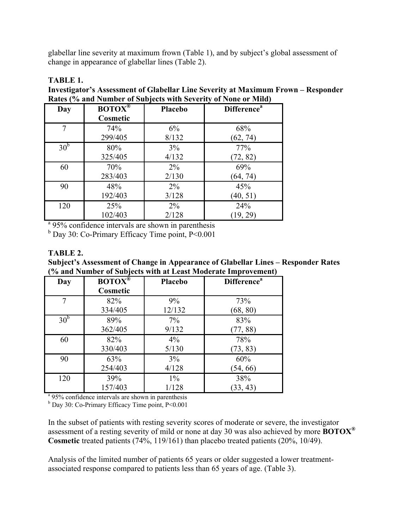glabellar line severity at maximum frown (Table 1), and by subject's global assessment of change in appearance of glabellar lines (Table 2).

#### **TABLE 1.**

**Investigator's Assessment of Glabellar Line Severity at Maximum Frown – Responder Rates (% and Number of Subjects with Severity of None or Mild)**

| Day             | $\overline{BOTOX^{\circledast}}$<br>Cosmetic | Placebo                                                        | Difference <sup>a</sup> |
|-----------------|----------------------------------------------|----------------------------------------------------------------|-------------------------|
|                 |                                              |                                                                |                         |
| 7               | 74%                                          | 6%                                                             | 68%                     |
|                 | 299/405                                      | 8/132                                                          | (62, 74)                |
| 30 <sup>b</sup> | 80%                                          | 3%                                                             | 77%                     |
|                 | 325/405                                      | 4/132                                                          | (72, 82)                |
| 60              | 70%                                          | $2\%$                                                          | 69%                     |
|                 | 283/403                                      | 2/130                                                          | (64, 74)                |
| 90              | 48%                                          | $2\%$                                                          | 45%                     |
|                 | 192/403                                      | 3/128                                                          | (40, 51)                |
| 120             | 25%                                          | $2\%$                                                          | 24%                     |
|                 | 102/403                                      | 2/128                                                          | (19, 29)                |
|                 |                                              | <sup>a</sup> 95% confidence intervals are shown in parenthesis |                         |

<sup>b</sup> Day 30: Co-Primary Efficacy Time point, P<0.001

## **TABLE 2.**

| Subject's Assessment of Change in Appearance of Glabellar Lines – Responder Rates |
|-----------------------------------------------------------------------------------|
| (% and Number of Subjects with at Least Moderate Improvement)                     |

| Day             | $\text{BOTOX}^{\circledR}$                                     | <b>Placebo</b> | Difference <sup>a</sup> |
|-----------------|----------------------------------------------------------------|----------------|-------------------------|
|                 | Cosmetic                                                       |                |                         |
| 7               | 82%                                                            | 9%             | 73%                     |
|                 | 334/405                                                        | 12/132         | (68, 80)                |
| 30 <sup>b</sup> | 89%                                                            | $7\%$          | 83%                     |
|                 | 362/405                                                        | 9/132          | (77, 88)                |
| 60              | 82%                                                            | 4%             | 78%                     |
|                 | 330/403                                                        | 5/130          | (73, 83)                |
| 90              | 63%                                                            | 3%             | 60%                     |
|                 | 254/403                                                        | 4/128          | (54, 66)                |
| 120             | 39%                                                            | $1\%$          | 38%                     |
|                 | 157/403                                                        | 1/128          | (33, 43)                |
|                 | <sup>a</sup> 95% confidence intervals are shown in parenthesis |                |                         |

<sup>b</sup> Day 30: Co-Primary Efficacy Time point, P<0.001

In the subset of patients with resting severity scores of moderate or severe, the investigator assessment of a resting severity of mild or none at day 30 was also achieved by more **BOTOX® Cosmetic** treated patients (74%, 119/161) than placebo treated patients (20%, 10/49).

Analysis of the limited number of patients 65 years or older suggested a lower treatmentassociated response compared to patients less than 65 years of age. (Table 3).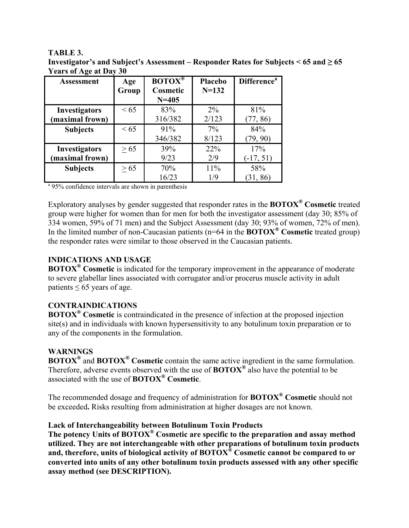**TABLE 3.**  Investigator's and Subject's Assessment – Responder Rates for Subjects  $\leq 65$  and  $\geq 65$ **Years of Age at Day 30**

| <b>Assessment</b>                                              | Age<br>Group | $\text{BOTOX}^{\circledR}$<br>Cosmetic<br>$N = 405$ | Placebo<br>$N = 132$ | Difference <sup>a</sup> |
|----------------------------------------------------------------|--------------|-----------------------------------------------------|----------------------|-------------------------|
| <b>Investigators</b><br>(maximal frown)                        | <65          | 83%<br>316/382                                      | $2\%$<br>2/123       | 81%<br>(77, 86)         |
| <b>Subjects</b>                                                | <65          | 91%<br>346/382                                      | $7\%$<br>8/123       | 84%<br>(79, 90)         |
| <b>Investigators</b><br>(maximal frown)                        | >65          | 39%<br>9/23                                         | 22%<br>2/9           | 17%<br>$(-17, 51)$      |
| <b>Subjects</b>                                                | >65          | 70%<br>16/23                                        | 11%<br>1/9           | 58%<br>(31, 86)         |
| <sup>a</sup> 95% confidence intervals are shown in parenthesis |              |                                                     |                      |                         |

Exploratory analyses by gender suggested that responder rates in the **BOTOX® Cosmetic** treated group were higher for women than for men for both the investigator assessment (day 30; 85% of 334 women, 59% of 71 men) and the Subject Assessment (day 30; 93% of women, 72% of men). In the limited number of non-Caucasian patients (n=64 in the **BOTOX® Cosmetic** treated group) the responder rates were similar to those observed in the Caucasian patients.

#### **INDICATIONS AND USAGE**

**BOTOX® Cosmetic** is indicated for the temporary improvement in the appearance of moderate to severe glabellar lines associated with corrugator and/or procerus muscle activity in adult patients  $\leq 65$  years of age.

## **CONTRAINDICATIONS**

**BOTOX® Cosmetic** is contraindicated in the presence of infection at the proposed injection site(s) and in individuals with known hypersensitivity to any botulinum toxin preparation or to any of the components in the formulation.

#### **WARNINGS**

**BOTOX<sup>®</sup>** and **BOTOX<sup>®</sup> Cosmetic** contain the same active ingredient in the same formulation. Therefore, adverse events observed with the use of **BOTOX®** also have the potential to be associated with the use of **BOTOX® Cosmetic**.

The recommended dosage and frequency of administration for **BOTOX® Cosmetic** should not be exceeded**.** Risks resulting from administration at higher dosages are not known.

#### **Lack of Interchangeability between Botulinum Toxin Products**

**The potency Units of BOTOX® Cosmetic are specific to the preparation and assay method utilized. They are not interchangeable with other preparations of botulinum toxin products and, therefore, units of biological activity of BOTOX® Cosmetic cannot be compared to or converted into units of any other botulinum toxin products assessed with any other specific assay method (see DESCRIPTION).**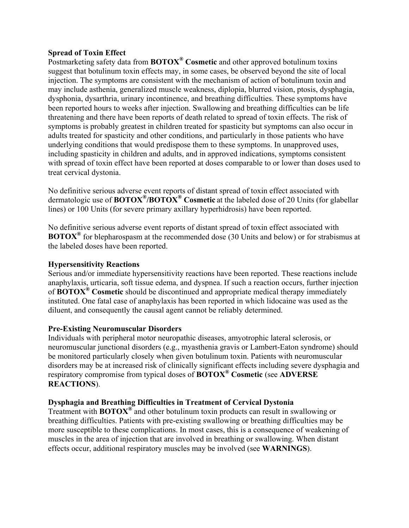#### **Spread of Toxin Effect**

Postmarketing safety data from **BOTOX® Cosmetic** and other approved botulinum toxins suggest that botulinum toxin effects may, in some cases, be observed beyond the site of local injection. The symptoms are consistent with the mechanism of action of botulinum toxin and may include asthenia, generalized muscle weakness, diplopia, blurred vision, ptosis, dysphagia, dysphonia, dysarthria, urinary incontinence, and breathing difficulties. These symptoms have been reported hours to weeks after injection. Swallowing and breathing difficulties can be life threatening and there have been reports of death related to spread of toxin effects. The risk of symptoms is probably greatest in children treated for spasticity but symptoms can also occur in adults treated for spasticity and other conditions, and particularly in those patients who have underlying conditions that would predispose them to these symptoms. In unapproved uses, including spasticity in children and adults, and in approved indications, symptoms consistent with spread of toxin effect have been reported at doses comparable to or lower than doses used to treat cervical dystonia.

No definitive serious adverse event reports of distant spread of toxin effect associated with dermatologic use of **BOTOX®/BOTOX® Cosmetic** at the labeled dose of 20 Units (for glabellar lines) or 100 Units (for severe primary axillary hyperhidrosis) have been reported.

No definitive serious adverse event reports of distant spread of toxin effect associated with **BOTOX®** for blepharospasm at the recommended dose (30 Units and below) or for strabismus at the labeled doses have been reported.

#### **Hypersensitivity Reactions**

Serious and/or immediate hypersensitivity reactions have been reported. These reactions include anaphylaxis, urticaria, soft tissue edema, and dyspnea. If such a reaction occurs, further injection of **BOTOX® Cosmetic** should be discontinued and appropriate medical therapy immediately instituted. One fatal case of anaphylaxis has been reported in which lidocaine was used as the diluent, and consequently the causal agent cannot be reliably determined.

#### **Pre-Existing Neuromuscular Disorders**

Individuals with peripheral motor neuropathic diseases, amyotrophic lateral sclerosis, or neuromuscular junctional disorders (e.g., myasthenia gravis or Lambert-Eaton syndrome) should be monitored particularly closely when given botulinum toxin. Patients with neuromuscular disorders may be at increased risk of clinically significant effects including severe dysphagia and respiratory compromise from typical doses of **BOTOX® Cosmetic** (see **ADVERSE REACTIONS**).

#### **Dysphagia and Breathing Difficulties in Treatment of Cervical Dystonia**

Treatment with **BOTOX®** and other botulinum toxin products can result in swallowing or breathing difficulties. Patients with pre-existing swallowing or breathing difficulties may be more susceptible to these complications. In most cases, this is a consequence of weakening of muscles in the area of injection that are involved in breathing or swallowing. When distant effects occur, additional respiratory muscles may be involved (see **WARNINGS**).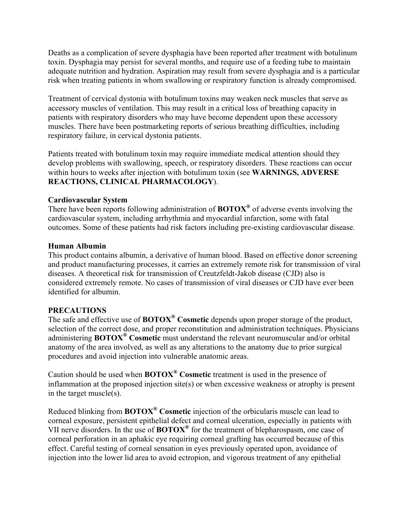Deaths as a complication of severe dysphagia have been reported after treatment with botulinum toxin. Dysphagia may persist for several months, and require use of a feeding tube to maintain adequate nutrition and hydration. Aspiration may result from severe dysphagia and is a particular risk when treating patients in whom swallowing or respiratory function is already compromised.

Treatment of cervical dystonia with botulinum toxins may weaken neck muscles that serve as accessory muscles of ventilation. This may result in a critical loss of breathing capacity in patients with respiratory disorders who may have become dependent upon these accessory muscles. There have been postmarketing reports of serious breathing difficulties, including respiratory failure, in cervical dystonia patients.

Patients treated with botulinum toxin may require immediate medical attention should they develop problems with swallowing, speech, or respiratory disorders. These reactions can occur within hours to weeks after injection with botulinum toxin (see **WARNINGS, ADVERSE REACTIONS, CLINICAL PHARMACOLOGY**).

#### **Cardiovascular System**

There have been reports following administration of **BOTOX®** of adverse events involving the cardiovascular system, including arrhythmia and myocardial infarction, some with fatal outcomes. Some of these patients had risk factors including pre-existing cardiovascular disease.

#### **Human Albumin**

This product contains albumin, a derivative of human blood. Based on effective donor screening and product manufacturing processes, it carries an extremely remote risk for transmission of viral diseases. A theoretical risk for transmission of Creutzfeldt-Jakob disease (CJD) also is considered extremely remote. No cases of transmission of viral diseases or CJD have ever been identified for albumin.

#### **PRECAUTIONS**

The safe and effective use of **BOTOX® Cosmetic** depends upon proper storage of the product, selection of the correct dose, and proper reconstitution and administration techniques. Physicians administering **BOTOX® Cosmetic** must understand the relevant neuromuscular and/or orbital anatomy of the area involved, as well as any alterations to the anatomy due to prior surgical procedures and avoid injection into vulnerable anatomic areas.

Caution should be used when **BOTOX® Cosmetic** treatment is used in the presence of inflammation at the proposed injection site(s) or when excessive weakness or atrophy is present in the target muscle(s).

Reduced blinking from **BOTOX® Cosmetic** injection of the orbicularis muscle can lead to corneal exposure, persistent epithelial defect and corneal ulceration, especially in patients with VII nerve disorders. In the use of **BOTOX®** for the treatment of blepharospasm, one case of corneal perforation in an aphakic eye requiring corneal grafting has occurred because of this effect. Careful testing of corneal sensation in eyes previously operated upon, avoidance of injection into the lower lid area to avoid ectropion, and vigorous treatment of any epithelial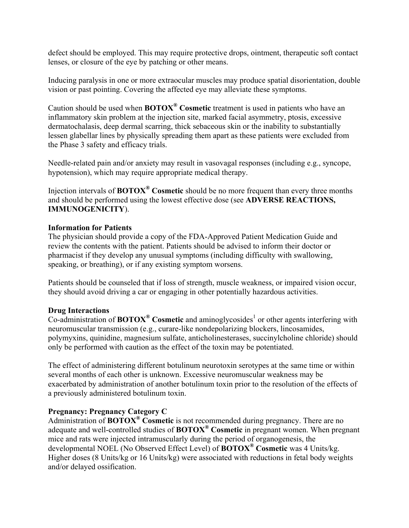defect should be employed. This may require protective drops, ointment, therapeutic soft contact lenses, or closure of the eye by patching or other means.

Inducing paralysis in one or more extraocular muscles may produce spatial disorientation, double vision or past pointing. Covering the affected eye may alleviate these symptoms.

Caution should be used when **BOTOX® Cosmetic** treatment is used in patients who have an inflammatory skin problem at the injection site, marked facial asymmetry, ptosis, excessive dermatochalasis, deep dermal scarring, thick sebaceous skin or the inability to substantially lessen glabellar lines by physically spreading them apart as these patients were excluded from the Phase 3 safety and efficacy trials.

Needle-related pain and/or anxiety may result in vasovagal responses (including e.g., syncope, hypotension), which may require appropriate medical therapy.

Injection intervals of **BOTOX® Cosmetic** should be no more frequent than every three months and should be performed using the lowest effective dose (see **ADVERSE REACTIONS, IMMUNOGENICITY**).

#### **Information for Patients**

The physician should provide a copy of the FDA-Approved Patient Medication Guide and review the contents with the patient. Patients should be advised to inform their doctor or pharmacist if they develop any unusual symptoms (including difficulty with swallowing, speaking, or breathing), or if any existing symptom worsens.

Patients should be counseled that if loss of strength, muscle weakness, or impaired vision occur, they should avoid driving a car or engaging in other potentially hazardous activities.

#### **Drug Interactions**

Co-administration of **BOTOX<sup>®</sup> Cosmetic** and aminoglycosides<sup>1</sup> or other agents interfering with neuromuscular transmission (e.g., curare-like nondepolarizing blockers, lincosamides, polymyxins, quinidine, magnesium sulfate, anticholinesterases, succinylcholine chloride) should only be performed with caution as the effect of the toxin may be potentiated.

The effect of administering different botulinum neurotoxin serotypes at the same time or within several months of each other is unknown. Excessive neuromuscular weakness may be exacerbated by administration of another botulinum toxin prior to the resolution of the effects of a previously administered botulinum toxin.

#### **Pregnancy: Pregnancy Category C**

Administration of **BOTOX® Cosmetic** is not recommended during pregnancy. There are no adequate and well-controlled studies of **BOTOX® Cosmetic** in pregnant women. When pregnant mice and rats were injected intramuscularly during the period of organogenesis, the developmental NOEL (No Observed Effect Level) of **BOTOX® Cosmetic** was 4 Units/kg. Higher doses (8 Units/kg or 16 Units/kg) were associated with reductions in fetal body weights and/or delayed ossification.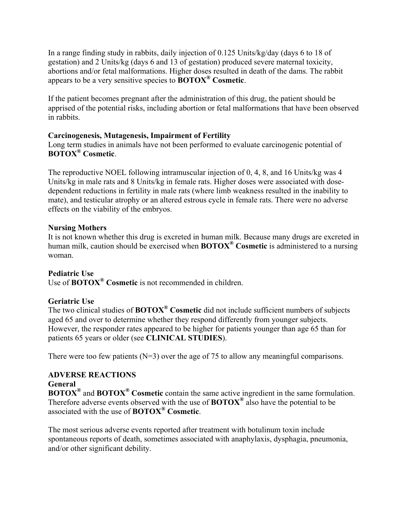In a range finding study in rabbits, daily injection of 0.125 Units/kg/day (days 6 to 18 of gestation) and 2 Units/kg (days 6 and 13 of gestation) produced severe maternal toxicity, abortions and/or fetal malformations. Higher doses resulted in death of the dams. The rabbit appears to be a very sensitive species to **BOTOX® Cosmetic**.

If the patient becomes pregnant after the administration of this drug, the patient should be apprised of the potential risks, including abortion or fetal malformations that have been observed in rabbits.

#### **Carcinogenesis, Mutagenesis, Impairment of Fertility**

Long term studies in animals have not been performed to evaluate carcinogenic potential of **BOTOX® Cosmetic**.

The reproductive NOEL following intramuscular injection of 0, 4, 8, and 16 Units/kg was 4 Units/kg in male rats and 8 Units/kg in female rats. Higher doses were associated with dosedependent reductions in fertility in male rats (where limb weakness resulted in the inability to mate), and testicular atrophy or an altered estrous cycle in female rats. There were no adverse effects on the viability of the embryos.

#### **Nursing Mothers**

It is not known whether this drug is excreted in human milk. Because many drugs are excreted in human milk, caution should be exercised when **BOTOX® Cosmetic** is administered to a nursing woman.

## **Pediatric Use**

Use of **BOTOX® Cosmetic** is not recommended in children.

## **Geriatric Use**

The two clinical studies of **BOTOX® Cosmetic** did not include sufficient numbers of subjects aged 65 and over to determine whether they respond differently from younger subjects. However, the responder rates appeared to be higher for patients younger than age 65 than for patients 65 years or older (see **CLINICAL STUDIES**).

There were too few patients (N=3) over the age of 75 to allow any meaningful comparisons.

# **ADVERSE REACTIONS**

#### **General**

**BOTOX®** and **BOTOX® Cosmetic** contain the same active ingredient in the same formulation. Therefore adverse events observed with the use of **BOTOX®** also have the potential to be associated with the use of **BOTOX® Cosmetic**.

The most serious adverse events reported after treatment with botulinum toxin include spontaneous reports of death, sometimes associated with anaphylaxis, dysphagia, pneumonia, and/or other significant debility.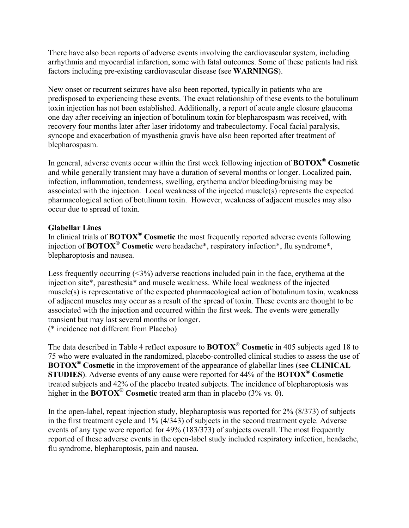There have also been reports of adverse events involving the cardiovascular system, including arrhythmia and myocardial infarction, some with fatal outcomes. Some of these patients had risk factors including pre-existing cardiovascular disease (see **WARNINGS**).

New onset or recurrent seizures have also been reported, typically in patients who are predisposed to experiencing these events. The exact relationship of these events to the botulinum toxin injection has not been established. Additionally, a report of acute angle closure glaucoma one day after receiving an injection of botulinum toxin for blepharospasm was received, with recovery four months later after laser iridotomy and trabeculectomy. Focal facial paralysis, syncope and exacerbation of myasthenia gravis have also been reported after treatment of blepharospasm.

In general, adverse events occur within the first week following injection of **BOTOX® Cosmetic** and while generally transient may have a duration of several months or longer. Localized pain, infection, inflammation, tenderness, swelling, erythema and/or bleeding/bruising may be associated with the injection. Local weakness of the injected muscle(s) represents the expected pharmacological action of botulinum toxin. However, weakness of adjacent muscles may also occur due to spread of toxin.

#### **Glabellar Lines**

In clinical trials of **BOTOX® Cosmetic** the most frequently reported adverse events following injection of **BOTOX® Cosmetic** were headache\*, respiratory infection\*, flu syndrome\*, blepharoptosis and nausea.

Less frequently occurring  $\left( \langle 3\% \rangle \right)$  adverse reactions included pain in the face, erythema at the injection site\*, paresthesia\* and muscle weakness. While local weakness of the injected muscle(s) is representative of the expected pharmacological action of botulinum toxin, weakness of adjacent muscles may occur as a result of the spread of toxin. These events are thought to be associated with the injection and occurred within the first week. The events were generally transient but may last several months or longer.

(\* incidence not different from Placebo)

The data described in Table 4 reflect exposure to **BOTOX® Cosmetic** in 405 subjects aged 18 to 75 who were evaluated in the randomized, placebo-controlled clinical studies to assess the use of **BOTOX® Cosmetic** in the improvement of the appearance of glabellar lines (see **CLINICAL STUDIES**). Adverse events of any cause were reported for 44% of the **BOTOX® Cosmetic** treated subjects and 42% of the placebo treated subjects. The incidence of blepharoptosis was higher in the **BOTOX® Cosmetic** treated arm than in placebo (3% vs. 0).

In the open-label, repeat injection study, blepharoptosis was reported for 2% (8/373) of subjects in the first treatment cycle and 1% (4/343) of subjects in the second treatment cycle. Adverse events of any type were reported for 49% (183/373) of subjects overall. The most frequently reported of these adverse events in the open-label study included respiratory infection, headache, flu syndrome, blepharoptosis, pain and nausea.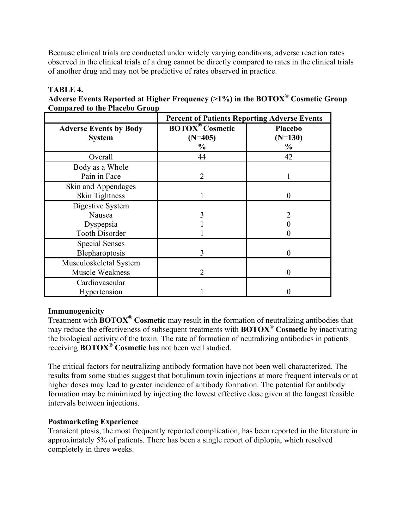Because clinical trials are conducted under widely varying conditions, adverse reaction rates observed in the clinical trials of a drug cannot be directly compared to rates in the clinical trials of another drug and may not be predictive of rates observed in practice.

#### **TABLE 4.**

| Adverse Events Reported at Higher Frequency (>1%) in the BOTOX <sup>®</sup> Cosmetic Group |
|--------------------------------------------------------------------------------------------|
| <b>Compared to the Placebo Group</b>                                                       |

|                                                                  | <b>Percent of Patients Reporting Adverse Events</b>  |                                       |  |
|------------------------------------------------------------------|------------------------------------------------------|---------------------------------------|--|
| <b>Adverse Events by Body</b><br><b>System</b>                   | <b>BOTOX®</b> Cosmetic<br>$(N=405)$<br>$\frac{6}{6}$ | Placebo<br>$(N=130)$<br>$\frac{0}{0}$ |  |
| Overall                                                          | 44                                                   | 42                                    |  |
| Body as a Whole<br>Pain in Face                                  |                                                      |                                       |  |
| Skin and Appendages<br>Skin Tightness                            |                                                      |                                       |  |
| Digestive System<br>Nausea<br>Dyspepsia<br><b>Tooth Disorder</b> |                                                      |                                       |  |
| <b>Special Senses</b><br>Blepharoptosis                          | 3                                                    |                                       |  |
| Musculoskeletal System<br>Muscle Weakness                        |                                                      |                                       |  |
| Cardiovascular<br>Hypertension                                   |                                                      |                                       |  |

#### **Immunogenicity**

Treatment with **BOTOX® Cosmetic** may result in the formation of neutralizing antibodies that may reduce the effectiveness of subsequent treatments with **BOTOX® Cosmetic** by inactivating the biological activity of the toxin. The rate of formation of neutralizing antibodies in patients receiving **BOTOX® Cosmetic** has not been well studied.

The critical factors for neutralizing antibody formation have not been well characterized. The results from some studies suggest that botulinum toxin injections at more frequent intervals or at higher doses may lead to greater incidence of antibody formation. The potential for antibody formation may be minimized by injecting the lowest effective dose given at the longest feasible intervals between injections.

#### **Postmarketing Experience**

Transient ptosis, the most frequently reported complication, has been reported in the literature in approximately 5% of patients. There has been a single report of diplopia, which resolved completely in three weeks.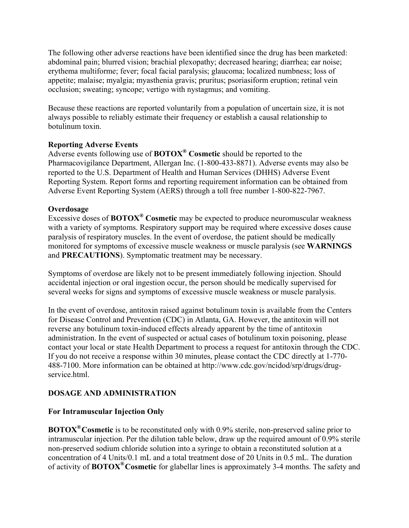The following other adverse reactions have been identified since the drug has been marketed: abdominal pain; blurred vision; brachial plexopathy; decreased hearing; diarrhea; ear noise; erythema multiforme; fever; focal facial paralysis; glaucoma; localized numbness; loss of appetite; malaise; myalgia; myasthenia gravis; pruritus; psoriasiform eruption; retinal vein occlusion; sweating; syncope; vertigo with nystagmus; and vomiting.

Because these reactions are reported voluntarily from a population of uncertain size, it is not always possible to reliably estimate their frequency or establish a causal relationship to botulinum toxin.

#### **Reporting Adverse Events**

Adverse events following use of **BOTOX® Cosmetic** should be reported to the Pharmacovigilance Department, Allergan Inc. (1-800-433-8871). Adverse events may also be reported to the U.S. Department of Health and Human Services (DHHS) Adverse Event Reporting System. Report forms and reporting requirement information can be obtained from Adverse Event Reporting System (AERS) through a toll free number 1-800-822-7967.

#### **Overdosage**

Excessive doses of **BOTOX® Cosmetic** may be expected to produce neuromuscular weakness with a variety of symptoms. Respiratory support may be required where excessive doses cause paralysis of respiratory muscles. In the event of overdose, the patient should be medically monitored for symptoms of excessive muscle weakness or muscle paralysis (see **WARNINGS**  and **PRECAUTIONS**). Symptomatic treatment may be necessary.

Symptoms of overdose are likely not to be present immediately following injection. Should accidental injection or oral ingestion occur, the person should be medically supervised for several weeks for signs and symptoms of excessive muscle weakness or muscle paralysis.

In the event of overdose, antitoxin raised against botulinum toxin is available from the Centers for Disease Control and Prevention (CDC) in Atlanta, GA. However, the antitoxin will not reverse any botulinum toxin-induced effects already apparent by the time of antitoxin administration. In the event of suspected or actual cases of botulinum toxin poisoning, please contact your local or state Health Department to process a request for antitoxin through the CDC. If you do not receive a response within 30 minutes, please contact the CDC directly at 1-770- 488-7100. More information can be obtained at http://www.cdc.gov/ncidod/srp/drugs/drugservice.html.

## **DOSAGE AND ADMINISTRATION**

#### **For Intramuscular Injection Only**

**BOTOX®Cosmetic** is to be reconstituted only with 0.9% sterile, non-preserved saline prior to intramuscular injection. Per the dilution table below, draw up the required amount of 0.9% sterile non-preserved sodium chloride solution into a syringe to obtain a reconstituted solution at a concentration of 4 Units/0.1 mL and a total treatment dose of 20 Units in 0.5 mL. The duration of activity of **BOTOX®Cosmetic** for glabellar lines is approximately 3-4 months. The safety and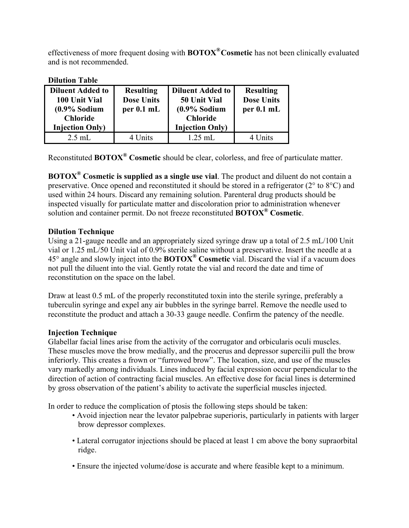effectiveness of more frequent dosing with **BOTOX®Cosmetic** has not been clinically evaluated and is not recommended.

| <b>Diluent Added to</b><br>100 Unit Vial<br>$(0.9\%$ Sodium<br><b>Chloride</b><br><b>Injection Only)</b> | <b>Resulting</b><br><b>Dose Units</b><br>per 0.1 mL | <b>Diluent Added to</b><br>50 Unit Vial<br>$(0.9\%$ Sodium<br><b>Chloride</b><br><b>Injection Only)</b> | <b>Resulting</b><br><b>Dose Units</b><br>per 0.1 mL |
|----------------------------------------------------------------------------------------------------------|-----------------------------------------------------|---------------------------------------------------------------------------------------------------------|-----------------------------------------------------|
| $2.5 \text{ mL}$                                                                                         | 4 Units                                             | $1.25 \text{ mL}$                                                                                       | 4 Units                                             |

Reconstituted **BOTOX® Cosmetic** should be clear, colorless, and free of particulate matter.

**BOTOX® Cosmetic is supplied as a single use vial**. The product and diluent do not contain a preservative. Once opened and reconstituted it should be stored in a refrigerator (2° to 8°C) and used within 24 hours. Discard any remaining solution. Parenteral drug products should be inspected visually for particulate matter and discoloration prior to administration whenever solution and container permit. Do not freeze reconstituted **BOTOX® Cosmetic**.

#### **Dilution Technique**

Using a 21-gauge needle and an appropriately sized syringe draw up a total of 2.5 mL/100 Unit vial or 1.25 mL/50 Unit vial of 0.9% sterile saline without a preservative. Insert the needle at a 45° angle and slowly inject into the **BOTOX® Cosmetic** vial. Discard the vial if a vacuum does not pull the diluent into the vial. Gently rotate the vial and record the date and time of reconstitution on the space on the label.

Draw at least 0.5 mL of the properly reconstituted toxin into the sterile syringe, preferably a tuberculin syringe and expel any air bubbles in the syringe barrel. Remove the needle used to reconstitute the product and attach a 30-33 gauge needle. Confirm the patency of the needle.

#### **Injection Technique**

Glabellar facial lines arise from the activity of the corrugator and orbicularis oculi muscles. These muscles move the brow medially, and the procerus and depressor supercilii pull the brow inferiorly. This creates a frown or "furrowed brow". The location, size, and use of the muscles vary markedly among individuals. Lines induced by facial expression occur perpendicular to the direction of action of contracting facial muscles. An effective dose for facial lines is determined by gross observation of the patient's ability to activate the superficial muscles injected.

In order to reduce the complication of ptosis the following steps should be taken:

- Avoid injection near the levator palpebrae superioris, particularly in patients with larger brow depressor complexes.
- Lateral corrugator injections should be placed at least 1 cm above the bony supraorbital ridge.
- Ensure the injected volume/dose is accurate and where feasible kept to a minimum.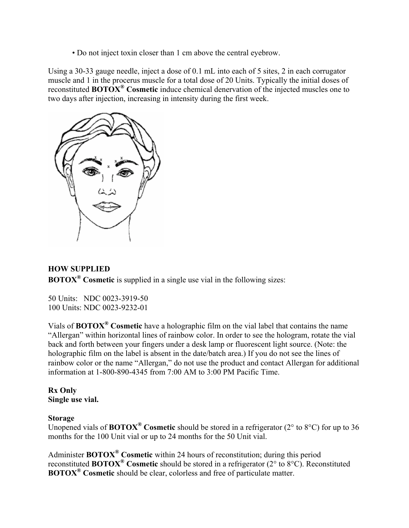• Do not inject toxin closer than 1 cm above the central eyebrow.

Using a 30-33 gauge needle, inject a dose of 0.1 mL into each of 5 sites, 2 in each corrugator muscle and 1 in the procerus muscle for a total dose of 20 Units. Typically the initial doses of reconstituted **BOTOX® Cosmetic** induce chemical denervation of the injected muscles one to two days after injection, increasing in intensity during the first week.



## **HOW SUPPLIED**

**BOTOX<sup>®</sup> Cosmetic** is supplied in a single use vial in the following sizes:

50 Units: NDC 0023-3919-50 100 Units: NDC 0023-9232-01

Vials of **BOTOX® Cosmetic** have a holographic film on the vial label that contains the name "Allergan" within horizontal lines of rainbow color. In order to see the hologram, rotate the vial back and forth between your fingers under a desk lamp or fluorescent light source. (Note: the holographic film on the label is absent in the date/batch area.) If you do not see the lines of rainbow color or the name "Allergan," do not use the product and contact Allergan for additional information at 1-800-890-4345 from 7:00 AM to 3:00 PM Pacific Time.

#### **Rx Only Single use vial.**

## **Storage**

Unopened vials of **BOTOX® Cosmetic** should be stored in a refrigerator (2° to 8°C) for up to 36 months for the 100 Unit vial or up to 24 months for the 50 Unit vial.

Administer **BOTOX® Cosmetic** within 24 hours of reconstitution; during this period reconstituted **BOTOX® Cosmetic** should be stored in a refrigerator (2° to 8°C). Reconstituted **BOTOX® Cosmetic** should be clear, colorless and free of particulate matter.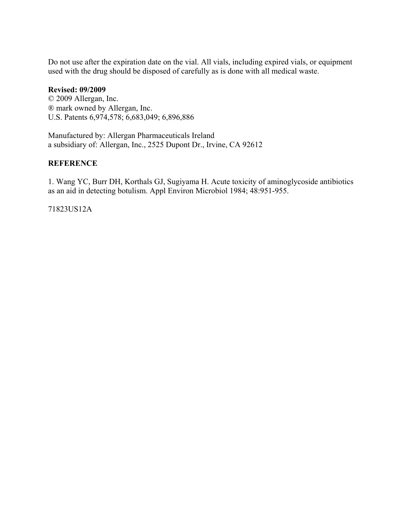Do not use after the expiration date on the vial. All vials, including expired vials, or equipment used with the drug should be disposed of carefully as is done with all medical waste.

#### **Revised: 09/2009**

© 2009 Allergan, Inc. ® mark owned by Allergan, Inc. U.S. Patents 6,974,578; 6,683,049; 6,896,886

Manufactured by: Allergan Pharmaceuticals Ireland a subsidiary of: Allergan, Inc., 2525 Dupont Dr., Irvine, CA 92612

#### **REFERENCE**

1. Wang YC, Burr DH, Korthals GJ, Sugiyama H. Acute toxicity of aminoglycoside antibiotics as an aid in detecting botulism. Appl Environ Microbiol 1984; 48:951-955.

71823US12A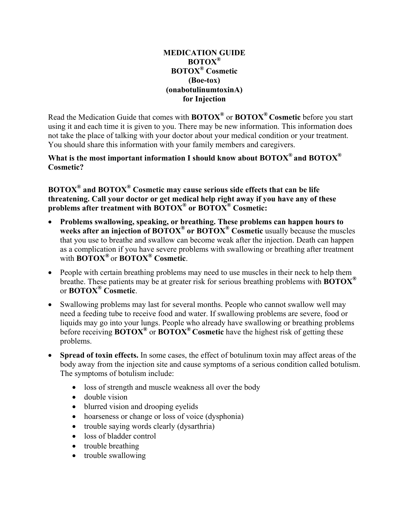#### **MEDICATION GUIDE BOTOX® BOTOX® Cosmetic (Boe-tox) (onabotulinumtoxinA) for Injection**

Read the Medication Guide that comes with **BOTOX®** or **BOTOX® Cosmetic** before you start using it and each time it is given to you. There may be new information. This information does not take the place of talking with your doctor about your medical condition or your treatment. You should share this information with your family members and caregivers.

**What is the most important information I should know about BOTOX® and BOTOX® Cosmetic?** 

**BOTOX® and BOTOX® Cosmetic may cause serious side effects that can be life threatening. Call your doctor or get medical help right away if you have any of these problems after treatment with BOTOX® or BOTOX® Cosmetic:** 

- **Problems swallowing, speaking, or breathing. These problems can happen hours to weeks after an injection of BOTOX® or BOTOX® Cosmetic** usually because the muscles that you use to breathe and swallow can become weak after the injection. Death can happen as a complication if you have severe problems with swallowing or breathing after treatment with **BOTOX®** or **BOTOX® Cosmetic**.
- People with certain breathing problems may need to use muscles in their neck to help them breathe. These patients may be at greater risk for serious breathing problems with **BOTOX®** or **BOTOX® Cosmetic**.
- Swallowing problems may last for several months. People who cannot swallow well may need a feeding tube to receive food and water. If swallowing problems are severe, food or liquids may go into your lungs. People who already have swallowing or breathing problems before receiving **BOTOX®** or **BOTOX® Cosmetic** have the highest risk of getting these problems.
- **Spread of toxin effects.** In some cases, the effect of botulinum toxin may affect areas of the body away from the injection site and cause symptoms of a serious condition called botulism. The symptoms of botulism include:
	- loss of strength and muscle weakness all over the body
	- double vision
	- blurred vision and drooping eyelids
	- hoarseness or change or loss of voice (dysphonia)
	- trouble saying words clearly (dysarthria)
	- loss of bladder control
	- trouble breathing
	- trouble swallowing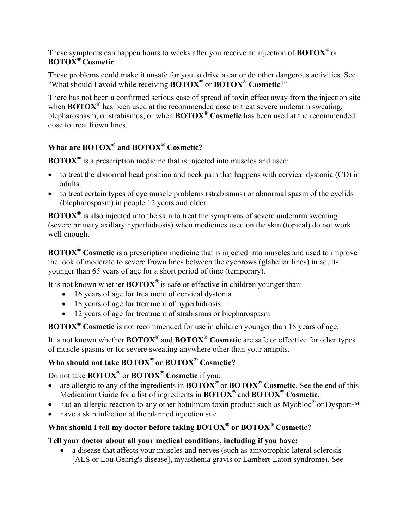These symptoms can happen hours to weeks after you receive an injection of **BOTOX®** or **BOTOX® Cosmetic**.

These problems could make it unsafe for you to drive a car or do other dangerous activities. See "What should I avoid while receiving **BOTOX®** or **BOTOX® Cosmetic**?"

There has not been a confirmed serious case of spread of toxin effect away from the injection site when **BOTOX<sup>®</sup>** has been used at the recommended dose to treat severe underarm sweating, blepharospasm, or strabismus, or when **BOTOX® Cosmetic** has been used at the recommended dose to treat frown lines.

# **What are BOTOX® and BOTOX® Cosmetic?**

**BOTOX<sup>®</sup>** is a prescription medicine that is injected into muscles and used:

- to treat the abnormal head position and neck pain that happens with cervical dystonia (CD) in adults.
- to treat certain types of eye muscle problems (strabismus) or abnormal spasm of the eyelids (blepharospasm) in people 12 years and older.

**BOTOX®** is also injected into the skin to treat the symptoms of severe underarm sweating (severe primary axillary hyperhidrosis) when medicines used on the skin (topical) do not work well enough.

**BOTOX® Cosmetic** is a prescription medicine that is injected into muscles and used to improve the look of moderate to severe frown lines between the eyebrows (glabellar lines) in adults younger than 65 years of age for a short period of time (temporary).

It is not known whether **BOTOX®** is safe or effective in children younger than:

- 16 years of age for treatment of cervical dystonia
- 18 years of age for treatment of hyperhidrosis
- 12 years of age for treatment of strabismus or blepharospasm

**BOTOX<sup>®</sup> Cosmetic** is not recommended for use in children younger than 18 years of age.

It is not known whether **BOTOX®** and **BOTOX® Cosmetic** are safe or effective for other types of muscle spasms or for severe sweating anywhere other than your armpits.

# **Who should not take BOTOX® or BOTOX® Cosmetic?**

Do not take **BOTOX®** or **BOTOX® Cosmetic** if you:

- are allergic to any of the ingredients in **BOTOX®** or **BOTOX® Cosmetic**. See the end of this Medication Guide for a list of ingredients in **BOTOX®** and **BOTOX® Cosmetic**.
- had an allergic reaction to any other botulinum toxin product such as Myobloc**®** or Dysport™
- have a skin infection at the planned injection site

# **What should I tell my doctor before taking BOTOX® or BOTOX® Cosmetic?**

## **Tell your doctor about all your medical conditions, including if you have:**

• a disease that affects your muscles and nerves (such as amyotrophic lateral sclerosis [ALS or Lou Gehrig's disease], myasthenia gravis or Lambert-Eaton syndrome). See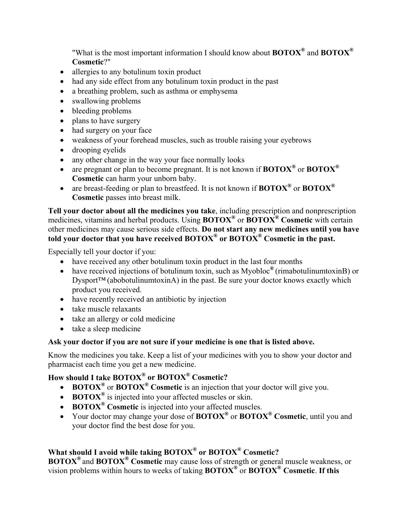"What is the most important information I should know about **BOTOX®** and **BOTOX® Cosmetic**?"

- allergies to any botulinum toxin product
- had any side effect from any botulinum toxin product in the past
- a breathing problem, such as asthma or emphysema
- swallowing problems
- bleeding problems
- plans to have surgery
- had surgery on your face
- weakness of your forehead muscles, such as trouble raising your eyebrows
- drooping eyelids
- any other change in the way your face normally looks
- are pregnant or plan to become pregnant. It is not known if **BOTOX®** or **BOTOX® Cosmetic** can harm your unborn baby.
- are breast-feeding or plan to breastfeed. It is not known if **BOTOX®** or **BOTOX® Cosmetic** passes into breast milk.

**Tell your doctor about all the medicines you take**, including prescription and nonprescription medicines, vitamins and herbal products. Using **BOTOX®** or **BOTOX® Cosmetic** with certain other medicines may cause serious side effects. **Do not start any new medicines until you have told your doctor that you have received BOTOX® or BOTOX® Cosmetic in the past.**

Especially tell your doctor if you:

- have received any other botulinum toxin product in the last four months
- have received injections of botulinum toxin, such as Myobloc<sup>®</sup> (rimabotulinumtoxinB) or  $Dysport^{TM}$  (abobotulinumtoxinA) in the past. Be sure your doctor knows exactly which product you received.
- have recently received an antibiotic by injection
- take muscle relaxants
- take an allergy or cold medicine
- take a sleep medicine

#### **Ask your doctor if you are not sure if your medicine is one that is listed above.**

Know the medicines you take. Keep a list of your medicines with you to show your doctor and pharmacist each time you get a new medicine.

## **How should I take BOTOX® or BOTOX® Cosmetic?**

- **BOTOX®** or **BOTOX® Cosmetic** is an injection that your doctor will give you.
- **BOTOX<sup>®</sup>** is injected into your affected muscles or skin.
- **BOTOX® Cosmetic** is injected into your affected muscles.
- Your doctor may change your dose of **BOTOX®** or **BOTOX® Cosmetic**, until you and your doctor find the best dose for you.

## **What should I avoid while taking BOTOX® or BOTOX® Cosmetic?**

**BOTOX®** and **BOTOX® Cosmetic** may cause loss of strength or general muscle weakness, or vision problems within hours to weeks of taking  $\overrightarrow{BOTOX}^{\circ}$  or  $\overrightarrow{BOTOX}^{\circ}$  Cosmetic. If this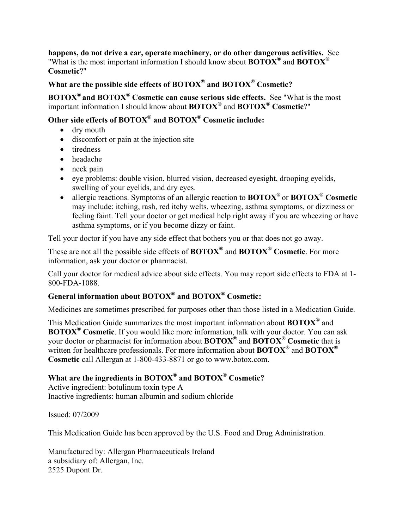**happens, do not drive a car, operate machinery, or do other dangerous activities.** See "What is the most important information I should know about **BOTOX®** and **BOTOX® Cosmetic**?"

## **What are the possible side effects of BOTOX® and BOTOX® Cosmetic?**

**BOTOX® and BOTOX® Cosmetic can cause serious side effects.** See "What is the most important information I should know about **BOTOX®** and **BOTOX® Cosmetic**?"

## **Other side effects of BOTOX® and BOTOX® Cosmetic include:**

- dry mouth
- discomfort or pain at the injection site
- tiredness
- headache
- neck pain
- eye problems: double vision, blurred vision, decreased eyesight, drooping eyelids, swelling of your eyelids, and dry eyes.
- allergic reactions. Symptoms of an allergic reaction to **BOTOX<sup>®</sup>** or **BOTOX<sup>®</sup>** Cosmetic may include: itching, rash, red itchy welts, wheezing, asthma symptoms, or dizziness or feeling faint. Tell your doctor or get medical help right away if you are wheezing or have asthma symptoms, or if you become dizzy or faint.

Tell your doctor if you have any side effect that bothers you or that does not go away.

These are not all the possible side effects of **BOTOX®** and **BOTOX® Cosmetic**. For more information, ask your doctor or pharmacist.

Call your doctor for medical advice about side effects. You may report side effects to FDA at 1- 800-FDA-1088.

## **General information about BOTOX® and BOTOX® Cosmetic:**

Medicines are sometimes prescribed for purposes other than those listed in a Medication Guide.

This Medication Guide summarizes the most important information about **BOTOX®** and **BOTOX® Cosmetic**. If you would like more information, talk with your doctor. You can ask your doctor or pharmacist for information about **BOTOX®** and **BOTOX® Cosmetic** that is written for healthcare professionals. For more information about **BOTOX®** and **BOTOX® Cosmetic** call Allergan at 1-800-433-8871 or go to www.botox.com.

## **What are the ingredients in BOTOX® and BOTOX® Cosmetic?**

Active ingredient: botulinum toxin type A Inactive ingredients: human albumin and sodium chloride

Issued: 07/2009

This Medication Guide has been approved by the U.S. Food and Drug Administration.

Manufactured by: Allergan Pharmaceuticals Ireland a subsidiary of: Allergan, Inc. 2525 Dupont Dr.